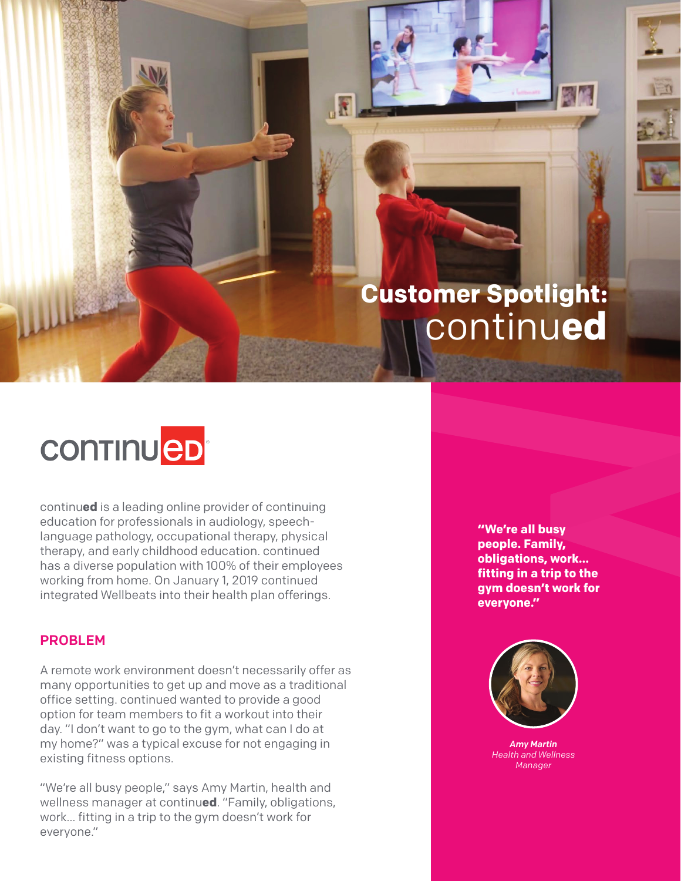# **Customer Spotlight:**  continu**ed**

# **CONTINUED**

continu**ed** is a leading online provider of continuing education for professionals in audiology, speechlanguage pathology, occupational therapy, physical therapy, and early childhood education. continued has a diverse population with 100% of their employees working from home. On January 1, 2019 continued integrated Wellbeats into their health plan offerings.

#### PROBLEM

A remote work environment doesn't necessarily offer as many opportunities to get up and move as a traditional office setting. continued wanted to provide a good option for team members to fit a workout into their day. "I don't want to go to the gym, what can I do at my home?" was a typical excuse for not engaging in existing fitness options.

"We're all busy people," says Amy Martin, health and wellness manager at continu**ed**. "Family, obligations, work… fitting in a trip to the gym doesn't work for everyone."

**"We're all busy people. Family, obligations, work… fitting in a trip to the gym doesn't work for everyone."**



*Amy Martin Health and Wellness Manager*